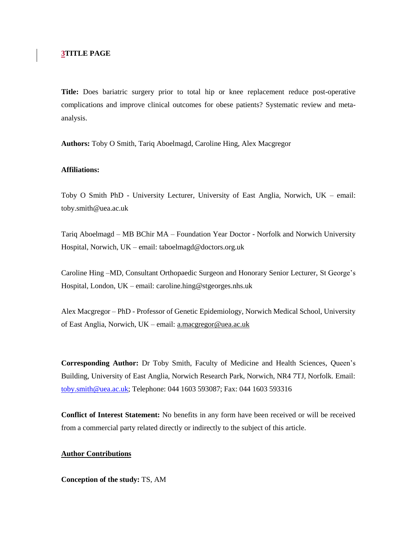## **3TITLE PAGE**

**Title:** Does bariatric surgery prior to total hip or knee replacement reduce post-operative complications and improve clinical outcomes for obese patients? Systematic review and metaanalysis.

**Authors:** Toby O Smith, Tariq Aboelmagd, Caroline Hing, Alex Macgregor

## **Affiliations:**

Toby O Smith PhD - University Lecturer, University of East Anglia, Norwich, UK – email: toby.smith@uea.ac.uk

Tariq Aboelmagd – MB BChir MA – Foundation Year Doctor - Norfolk and Norwich University Hospital, Norwich, UK – email: taboelmagd@doctors.org.uk

Caroline Hing –MD, Consultant Orthopaedic Surgeon and Honorary Senior Lecturer, St George's Hospital, London, UK – email: caroline.hing@stgeorges.nhs.uk

Alex Macgregor – PhD - Professor of Genetic Epidemiology, Norwich Medical School, University of East Anglia, Norwich, UK – email: [a.macgregor@uea.ac.uk](mailto:a.macgregor@uea.ac.uk)

**Corresponding Author:** Dr Toby Smith, Faculty of Medicine and Health Sciences, Queen's Building, University of East Anglia, Norwich Research Park, Norwich, NR4 7TJ, Norfolk. Email: [toby.smith@uea.ac.uk;](mailto:toby.smith@uea.ac.uk) Telephone: 044 1603 593087; Fax: 044 1603 593316

**Conflict of Interest Statement:** No benefits in any form have been received or will be received from a commercial party related directly or indirectly to the subject of this article.

## **Author Contributions**

**Conception of the study:** TS, AM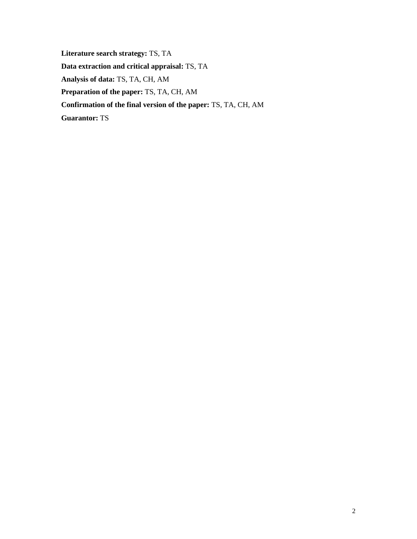**Literature search strategy:** TS, TA **Data extraction and critical appraisal:** TS, TA **Analysis of data:** TS, TA, CH, AM **Preparation of the paper:** TS, TA, CH, AM **Confirmation of the final version of the paper:** TS, TA, CH, AM **Guarantor:** TS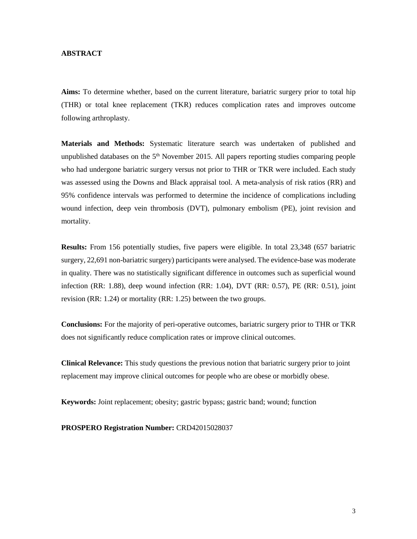## **ABSTRACT**

**Aims:** To determine whether, based on the current literature, bariatric surgery prior to total hip (THR) or total knee replacement (TKR) reduces complication rates and improves outcome following arthroplasty.

**Materials and Methods:** Systematic literature search was undertaken of published and unpublished databases on the  $5<sup>th</sup>$  November 2015. All papers reporting studies comparing people who had undergone bariatric surgery versus not prior to THR or TKR were included. Each study was assessed using the Downs and Black appraisal tool. A meta-analysis of risk ratios (RR) and 95% confidence intervals was performed to determine the incidence of complications including wound infection, deep vein thrombosis (DVT), pulmonary embolism (PE), joint revision and mortality.

**Results:** From 156 potentially studies, five papers were eligible. In total 23,348 (657 bariatric surgery, 22,691 non-bariatric surgery) participants were analysed. The evidence-base was moderate in quality. There was no statistically significant difference in outcomes such as superficial wound infection (RR: 1.88), deep wound infection (RR: 1.04), DVT (RR: 0.57), PE (RR: 0.51), joint revision (RR: 1.24) or mortality (RR: 1.25) between the two groups.

**Conclusions:** For the majority of peri-operative outcomes, bariatric surgery prior to THR or TKR does not significantly reduce complication rates or improve clinical outcomes.

**Clinical Relevance:** This study questions the previous notion that bariatric surgery prior to joint replacement may improve clinical outcomes for people who are obese or morbidly obese.

**Keywords:** Joint replacement; obesity; gastric bypass; gastric band; wound; function

**PROSPERO Registration Number:** CRD42015028037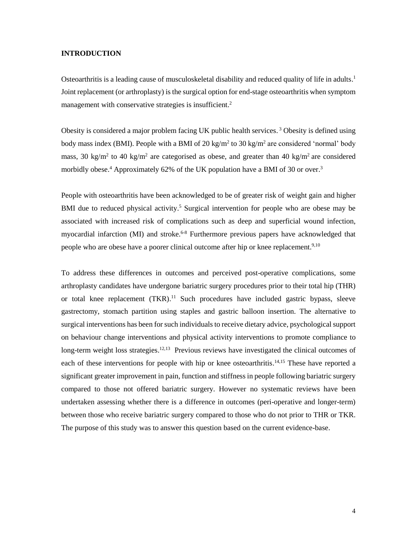#### **INTRODUCTION**

Osteoarthritis is a leading cause of musculoskeletal disability and reduced quality of life in adults.<sup>1</sup> Joint replacement (or arthroplasty) is the surgical option for end-stage osteoarthritis when symptom management with conservative strategies is insufficient.<sup>2</sup>

Obesity is considered a major problem facing UK public health services. <sup>3</sup> Obesity is defined using body mass index (BMI). People with a BMI of 20 kg/m<sup>2</sup> to 30 kg/m<sup>2</sup> are considered 'normal' body mass, 30 kg/m<sup>2</sup> to 40 kg/m<sup>2</sup> are categorised as obese, and greater than 40 kg/m<sup>2</sup> are considered morbidly obese.<sup>4</sup> Approximately 62% of the UK population have a BMI of 30 or over.<sup>3</sup>

People with osteoarthritis have been acknowledged to be of greater risk of weight gain and higher BMI due to reduced physical activity.<sup>5</sup> Surgical intervention for people who are obese may be associated with increased risk of complications such as deep and superficial wound infection, myocardial infarction (MI) and stroke.<sup>6-8</sup> Furthermore previous papers have acknowledged that people who are obese have a poorer clinical outcome after hip or knee replacement.<sup>9,10</sup>

To address these differences in outcomes and perceived post-operative complications, some arthroplasty candidates have undergone bariatric surgery procedures prior to their total hip (THR) or total knee replacement (TKR).<sup>11</sup> Such procedures have included gastric bypass, sleeve gastrectomy, stomach partition using staples and gastric balloon insertion. The alternative to surgical interventions has been for such individuals to receive dietary advice, psychological support on behaviour change interventions and physical activity interventions to promote compliance to long-term weight loss strategies.<sup>12,13</sup> Previous reviews have investigated the clinical outcomes of each of these interventions for people with hip or knee osteoarthritis.<sup>14,15</sup> These have reported a significant greater improvement in pain, function and stiffness in people following bariatric surgery compared to those not offered bariatric surgery. However no systematic reviews have been undertaken assessing whether there is a difference in outcomes (peri-operative and longer-term) between those who receive bariatric surgery compared to those who do not prior to THR or TKR. The purpose of this study was to answer this question based on the current evidence-base.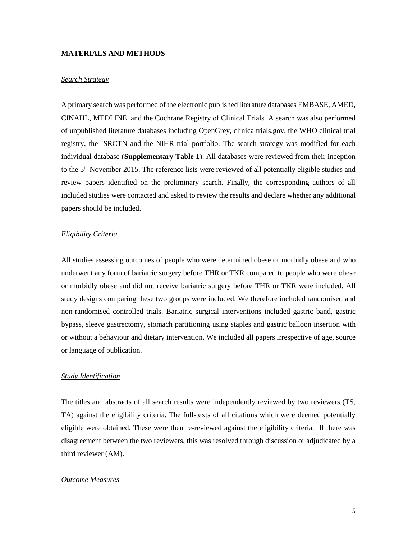#### **MATERIALS AND METHODS**

## *Search Strategy*

A primary search was performed of the electronic published literature databases EMBASE, AMED, CINAHL, MEDLINE, and the Cochrane Registry of Clinical Trials. A search was also performed of unpublished literature databases including OpenGrey, clinicaltrials.gov, the WHO clinical trial registry, the ISRCTN and the NIHR trial portfolio. The search strategy was modified for each individual database (**Supplementary Table 1**). All databases were reviewed from their inception to the 5<sup>th</sup> November 2015. The reference lists were reviewed of all potentially eligible studies and review papers identified on the preliminary search. Finally, the corresponding authors of all included studies were contacted and asked to review the results and declare whether any additional papers should be included.

#### *Eligibility Criteria*

All studies assessing outcomes of people who were determined obese or morbidly obese and who underwent any form of bariatric surgery before THR or TKR compared to people who were obese or morbidly obese and did not receive bariatric surgery before THR or TKR were included. All study designs comparing these two groups were included. We therefore included randomised and non-randomised controlled trials. Bariatric surgical interventions included gastric band, gastric bypass, sleeve gastrectomy, stomach partitioning using staples and gastric balloon insertion with or without a behaviour and dietary intervention. We included all papers irrespective of age, source or language of publication.

#### *Study Identification*

The titles and abstracts of all search results were independently reviewed by two reviewers (TS, TA) against the eligibility criteria. The full-texts of all citations which were deemed potentially eligible were obtained. These were then re-reviewed against the eligibility criteria. If there was disagreement between the two reviewers, this was resolved through discussion or adjudicated by a third reviewer (AM).

#### *Outcome Measures*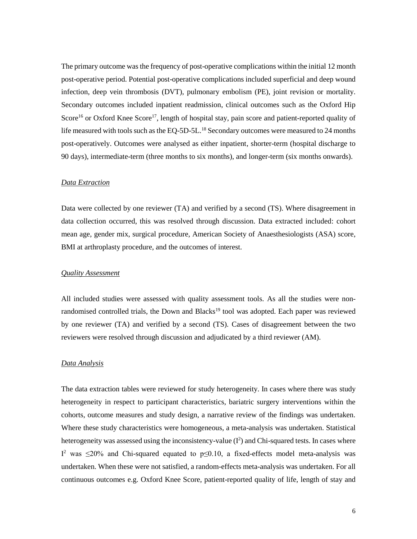The primary outcome was the frequency of post-operative complications within the initial 12 month post-operative period. Potential post-operative complications included superficial and deep wound infection, deep vein thrombosis (DVT), pulmonary embolism (PE), joint revision or mortality. Secondary outcomes included inpatient readmission, clinical outcomes such as the Oxford Hip Score<sup>16</sup> or Oxford Knee Score<sup>17</sup>, length of hospital stay, pain score and patient-reported quality of life measured with tools such as the EQ-5D-5L.<sup>18</sup> Secondary outcomes were measured to 24 months post-operatively. Outcomes were analysed as either inpatient, shorter-term (hospital discharge to 90 days), intermediate-term (three months to six months), and longer-term (six months onwards).

#### *Data Extraction*

Data were collected by one reviewer (TA) and verified by a second (TS). Where disagreement in data collection occurred, this was resolved through discussion. Data extracted included: cohort mean age, gender mix, surgical procedure, American Society of Anaesthesiologists (ASA) score, BMI at arthroplasty procedure, and the outcomes of interest.

#### *Quality Assessment*

All included studies were assessed with quality assessment tools. As all the studies were nonrandomised controlled trials, the Down and Blacks<sup>19</sup> tool was adopted. Each paper was reviewed by one reviewer (TA) and verified by a second (TS). Cases of disagreement between the two reviewers were resolved through discussion and adjudicated by a third reviewer (AM).

## *Data Analysis*

The data extraction tables were reviewed for study heterogeneity. In cases where there was study heterogeneity in respect to participant characteristics, bariatric surgery interventions within the cohorts, outcome measures and study design, a narrative review of the findings was undertaken. Where these study characteristics were homogeneous, a meta-analysis was undertaken. Statistical heterogeneity was assessed using the inconsistency-value  $(I^2)$  and Chi-squared tests. In cases where I<sup>2</sup> was  $\leq$ 20% and Chi-squared equated to p $\leq$ 0.10, a fixed-effects model meta-analysis was undertaken. When these were not satisfied, a random-effects meta-analysis was undertaken. For all continuous outcomes e.g. Oxford Knee Score, patient-reported quality of life, length of stay and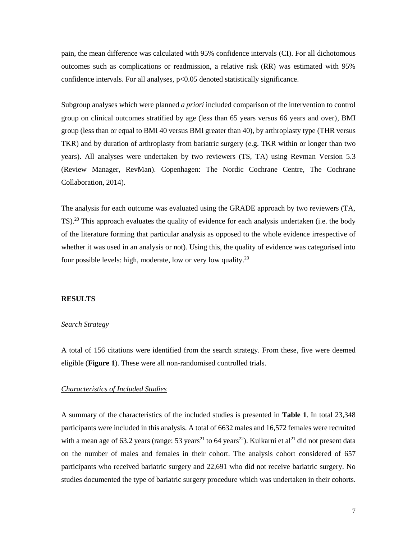pain, the mean difference was calculated with 95% confidence intervals (CI). For all dichotomous outcomes such as complications or readmission, a relative risk (RR) was estimated with 95% confidence intervals. For all analyses, p<0.05 denoted statistically significance.

Subgroup analyses which were planned *a priori* included comparison of the intervention to control group on clinical outcomes stratified by age (less than 65 years versus 66 years and over), BMI group (less than or equal to BMI 40 versus BMI greater than 40), by arthroplasty type (THR versus TKR) and by duration of arthroplasty from bariatric surgery (e.g. TKR within or longer than two years). All analyses were undertaken by two reviewers (TS, TA) using Revman Version 5.3 (Review Manager, RevMan). Copenhagen: The Nordic Cochrane Centre, The Cochrane Collaboration, 2014).

The analysis for each outcome was evaluated using the GRADE approach by two reviewers (TA, TS).<sup>20</sup> This approach evaluates the quality of evidence for each analysis undertaken (i.e. the body of the literature forming that particular analysis as opposed to the whole evidence irrespective of whether it was used in an analysis or not). Using this, the quality of evidence was categorised into four possible levels: high, moderate, low or very low quality.<sup>20</sup>

#### **RESULTS**

### *Search Strategy*

A total of 156 citations were identified from the search strategy. From these, five were deemed eligible (**Figure 1**). These were all non-randomised controlled trials.

## *Characteristics of Included Studies*

A summary of the characteristics of the included studies is presented in **Table 1**. In total 23,348 participants were included in this analysis. A total of 6632 males and 16,572 females were recruited with a mean age of 63.2 years (range:  $53 \text{ years}^{21}$  to 64 years<sup>22</sup>). Kulkarni et al<sup>21</sup> did not present data on the number of males and females in their cohort. The analysis cohort considered of 657 participants who received bariatric surgery and 22,691 who did not receive bariatric surgery. No studies documented the type of bariatric surgery procedure which was undertaken in their cohorts.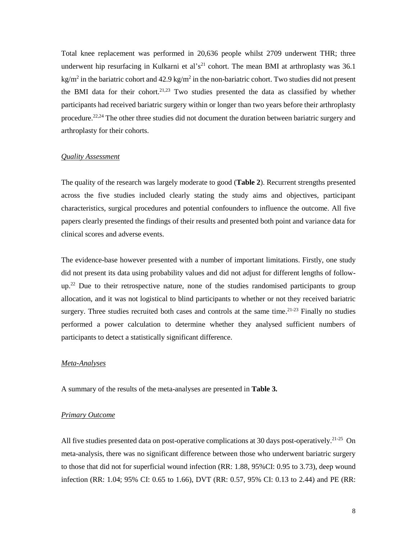Total knee replacement was performed in 20,636 people whilst 2709 underwent THR; three underwent hip resurfacing in Kulkarni et al's<sup>21</sup> cohort. The mean BMI at arthroplasty was 36.1  $kg/m<sup>2</sup>$  in the bariatric cohort and 42.9 kg/m<sup>2</sup> in the non-bariatric cohort. Two studies did not present the BMI data for their cohort.<sup>21,23</sup> Two studies presented the data as classified by whether participants had received bariatric surgery within or longer than two years before their arthroplasty procedure.<sup>22,24</sup> The other three studies did not document the duration between bariatric surgery and arthroplasty for their cohorts.

## *Quality Assessment*

The quality of the research was largely moderate to good (**Table 2**). Recurrent strengths presented across the five studies included clearly stating the study aims and objectives, participant characteristics, surgical procedures and potential confounders to influence the outcome. All five papers clearly presented the findings of their results and presented both point and variance data for clinical scores and adverse events.

The evidence-base however presented with a number of important limitations. Firstly, one study did not present its data using probability values and did not adjust for different lengths of followup.<sup>22</sup> Due to their retrospective nature, none of the studies randomised participants to group allocation, and it was not logistical to blind participants to whether or not they received bariatric surgery. Three studies recruited both cases and controls at the same time. $21-23$  Finally no studies performed a power calculation to determine whether they analysed sufficient numbers of participants to detect a statistically significant difference.

## *Meta-Analyses*

A summary of the results of the meta-analyses are presented in **Table 3.**

## *Primary Outcome*

All five studies presented data on post-operative complications at 30 days post-operatively.<sup>21-25</sup> On meta-analysis, there was no significant difference between those who underwent bariatric surgery to those that did not for superficial wound infection (RR: 1.88, 95%CI: 0.95 to 3.73), deep wound infection (RR: 1.04; 95% CI: 0.65 to 1.66), DVT (RR: 0.57, 95% CI: 0.13 to 2.44) and PE (RR: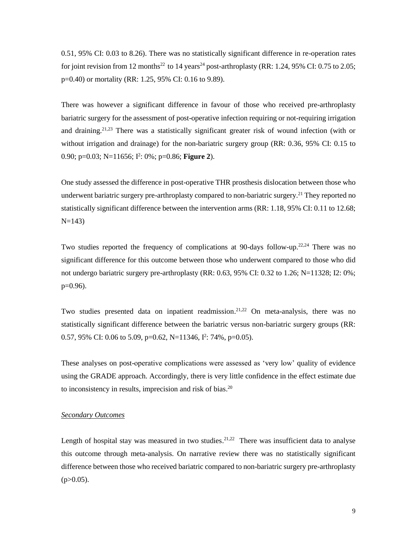0.51, 95% CI: 0.03 to 8.26). There was no statistically significant difference in re-operation rates for joint revision from 12 months<sup>22</sup> to 14 years<sup>24</sup> post-arthroplasty (RR: 1.24, 95% CI: 0.75 to 2.05; p=0.40) or mortality (RR: 1.25, 95% CI: 0.16 to 9.89).

There was however a significant difference in favour of those who received pre-arthroplasty bariatric surgery for the assessment of post-operative infection requiring or not-requiring irrigation and draining. 21,23 There was a statistically significant greater risk of wound infection (with or without irrigation and drainage) for the non-bariatric surgery group (RR: 0.36, 95% CI: 0.15 to 0.90; p=0.03; N=11656; I 2 : 0%; p=0.86; **Figure 2**).

One study assessed the difference in post-operative THR prosthesis dislocation between those who underwent bariatric surgery pre-arthroplasty compared to non-bariatric surgery. <sup>21</sup> They reported no statistically significant difference between the intervention arms (RR: 1.18, 95% CI: 0.11 to 12.68;  $N=143$ )

Two studies reported the frequency of complications at 90-days follow-up.<sup>22,24</sup> There was no significant difference for this outcome between those who underwent compared to those who did not undergo bariatric surgery pre-arthroplasty (RR: 0.63, 95% CI: 0.32 to 1.26; N=11328; I2: 0%;  $p=0.96$ ).

Two studies presented data on inpatient readmission.<sup>21,22</sup> On meta-analysis, there was no statistically significant difference between the bariatric versus non-bariatric surgery groups (RR: 0.57, 95% CI: 0.06 to 5.09, p=0.62, N=11346, I<sup>2</sup>: 74%, p=0.05).

These analyses on post-operative complications were assessed as 'very low' quality of evidence using the GRADE approach. Accordingly, there is very little confidence in the effect estimate due to inconsistency in results, imprecision and risk of bias.<sup>20</sup>

## *Secondary Outcomes*

Length of hospital stay was measured in two studies.<sup>21,22</sup> There was insufficient data to analyse this outcome through meta-analysis. On narrative review there was no statistically significant difference between those who received bariatric compared to non-bariatric surgery pre-arthroplasty  $(p>0.05)$ .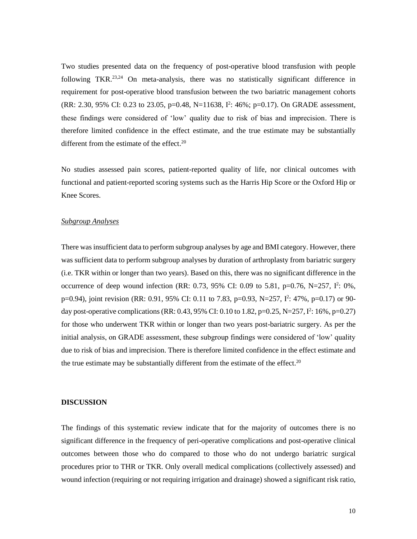Two studies presented data on the frequency of post-operative blood transfusion with people following TKR.<sup>23,24</sup> On meta-analysis, there was no statistically significant difference in requirement for post-operative blood transfusion between the two bariatric management cohorts (RR: 2.30, 95% CI: 0.23 to 23.05, p=0.48, N=11638, I<sup>2</sup>: 46%; p=0.17). On GRADE assessment, these findings were considered of 'low' quality due to risk of bias and imprecision. There is therefore limited confidence in the effect estimate, and the true estimate may be substantially different from the estimate of the effect.<sup>20</sup>

No studies assessed pain scores, patient-reported quality of life, nor clinical outcomes with functional and patient-reported scoring systems such as the Harris Hip Score or the Oxford Hip or Knee Scores.

## *Subgroup Analyses*

There was insufficient data to perform subgroup analyses by age and BMI category. However, there was sufficient data to perform subgroup analyses by duration of arthroplasty from bariatric surgery (i.e. TKR within or longer than two years). Based on this, there was no significant difference in the occurrence of deep wound infection (RR: 0.73, 95% CI: 0.09 to 5.81, p=0.76, N=257, I<sup>2</sup>: 0%, p=0.94), joint revision (RR: 0.91, 95% CI: 0.11 to 7.83, p=0.93, N=257, I<sup>2</sup>: 47%, p=0.17) or 90day post-operative complications (RR: 0.43, 95% CI: 0.10 to 1.82, p=0.25, N=257,  $I^2$ : 16%, p=0.27) for those who underwent TKR within or longer than two years post-bariatric surgery. As per the initial analysis, on GRADE assessment, these subgroup findings were considered of 'low' quality due to risk of bias and imprecision. There is therefore limited confidence in the effect estimate and the true estimate may be substantially different from the estimate of the effect.<sup>20</sup>

#### **DISCUSSION**

The findings of this systematic review indicate that for the majority of outcomes there is no significant difference in the frequency of peri-operative complications and post-operative clinical outcomes between those who do compared to those who do not undergo bariatric surgical procedures prior to THR or TKR. Only overall medical complications (collectively assessed) and wound infection (requiring or not requiring irrigation and drainage) showed a significant risk ratio,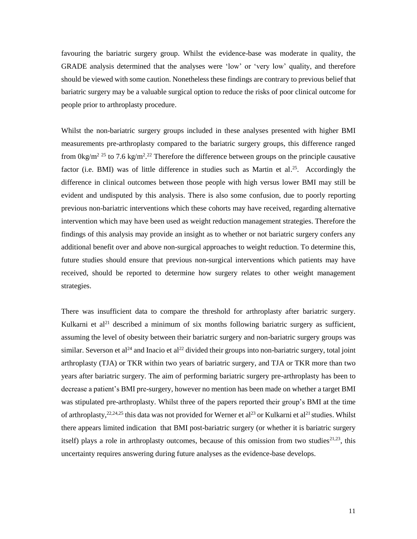favouring the bariatric surgery group. Whilst the evidence-base was moderate in quality, the GRADE analysis determined that the analyses were 'low' or 'very low' quality, and therefore should be viewed with some caution. Nonetheless these findings are contrary to previous belief that bariatric surgery may be a valuable surgical option to reduce the risks of poor clinical outcome for people prior to arthroplasty procedure.

Whilst the non-bariatric surgery groups included in these analyses presented with higher BMI measurements pre-arthroplasty compared to the bariatric surgery groups, this difference ranged from  $0\text{kg/m}^2$ <sup>25</sup> to 7.6 kg/m<sup>2</sup>.<sup>22</sup> Therefore the difference between groups on the principle causative factor (i.e. BMI) was of little difference in studies such as Martin et al.<sup>25</sup>. Accordingly the difference in clinical outcomes between those people with high versus lower BMI may still be evident and undisputed by this analysis. There is also some confusion, due to poorly reporting previous non-bariatric interventions which these cohorts may have received, regarding alternative intervention which may have been used as weight reduction management strategies. Therefore the findings of this analysis may provide an insight as to whether or not bariatric surgery confers any additional benefit over and above non-surgical approaches to weight reduction. To determine this, future studies should ensure that previous non-surgical interventions which patients may have received, should be reported to determine how surgery relates to other weight management strategies.

There was insufficient data to compare the threshold for arthroplasty after bariatric surgery. Kulkarni et al<sup>21</sup> described a minimum of six months following bariatric surgery as sufficient, assuming the level of obesity between their bariatric surgery and non-bariatric surgery groups was similar. Severson et al<sup>24</sup> and Inacio et al<sup>22</sup> divided their groups into non-bariatric surgery, total joint arthroplasty (TJA) or TKR within two years of bariatric surgery, and TJA or TKR more than two years after bariatric surgery. The aim of performing bariatric surgery pre-arthroplasty has been to decrease a patient's BMI pre-surgery, however no mention has been made on whether a target BMI was stipulated pre-arthroplasty. Whilst three of the papers reported their group's BMI at the time of arthroplasty,  $22,24,25$  this data was not provided for Werner et al<sup>23</sup> or Kulkarni et al<sup>21</sup> studies. Whilst there appears limited indication that BMI post-bariatric surgery (or whether it is bariatric surgery itself) plays a role in arthroplasty outcomes, because of this omission from two studies<sup>21,23</sup>, this uncertainty requires answering during future analyses as the evidence-base develops.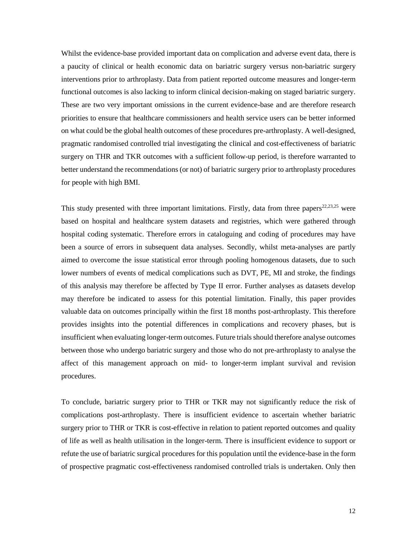Whilst the evidence-base provided important data on complication and adverse event data, there is a paucity of clinical or health economic data on bariatric surgery versus non-bariatric surgery interventions prior to arthroplasty. Data from patient reported outcome measures and longer-term functional outcomes is also lacking to inform clinical decision-making on staged bariatric surgery. These are two very important omissions in the current evidence-base and are therefore research priorities to ensure that healthcare commissioners and health service users can be better informed on what could be the global health outcomes of these procedures pre-arthroplasty. A well-designed, pragmatic randomised controlled trial investigating the clinical and cost-effectiveness of bariatric surgery on THR and TKR outcomes with a sufficient follow-up period, is therefore warranted to better understand the recommendations (or not) of bariatric surgery prior to arthroplasty procedures for people with high BMI.

This study presented with three important limitations. Firstly, data from three papers<sup>22,23,25</sup> were based on hospital and healthcare system datasets and registries, which were gathered through hospital coding systematic. Therefore errors in cataloguing and coding of procedures may have been a source of errors in subsequent data analyses. Secondly, whilst meta-analyses are partly aimed to overcome the issue statistical error through pooling homogenous datasets, due to such lower numbers of events of medical complications such as DVT, PE, MI and stroke, the findings of this analysis may therefore be affected by Type II error. Further analyses as datasets develop may therefore be indicated to assess for this potential limitation. Finally, this paper provides valuable data on outcomes principally within the first 18 months post-arthroplasty. This therefore provides insights into the potential differences in complications and recovery phases, but is insufficient when evaluating longer-term outcomes. Future trials should therefore analyse outcomes between those who undergo bariatric surgery and those who do not pre-arthroplasty to analyse the affect of this management approach on mid- to longer-term implant survival and revision procedures.

To conclude, bariatric surgery prior to THR or TKR may not significantly reduce the risk of complications post-arthroplasty. There is insufficient evidence to ascertain whether bariatric surgery prior to THR or TKR is cost-effective in relation to patient reported outcomes and quality of life as well as health utilisation in the longer-term. There is insufficient evidence to support or refute the use of bariatric surgical procedures for this population until the evidence-base in the form of prospective pragmatic cost-effectiveness randomised controlled trials is undertaken. Only then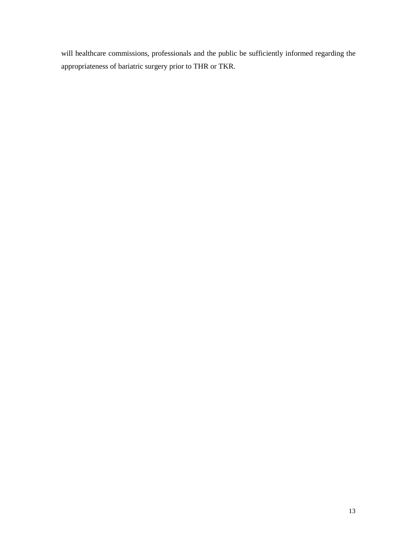will healthcare commissions, professionals and the public be sufficiently informed regarding the appropriateness of bariatric surgery prior to THR or TKR.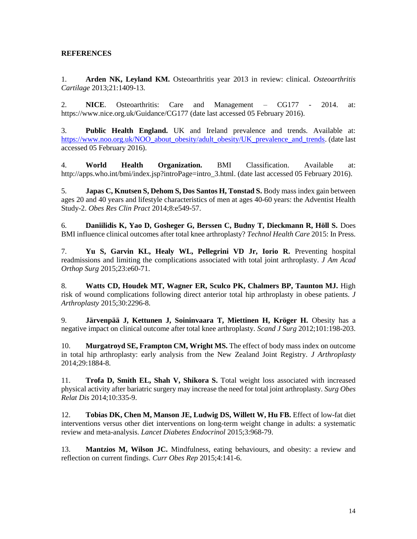# **REFERENCES**

1. **Arden NK, Leyland KM.** Osteoarthritis year 2013 in review: clinical. *Osteoarthritis Cartilage* 2013;21:1409-13.

2. **NICE**. Osteoarthritis: Care and Management – CG177 - 2014. at: https://www.nice.org.uk/Guidance/CG177 (date last accessed 05 February 2016).

3. **Public Health England.** UK and Ireland prevalence and trends. Available at: [https://www.noo.org.uk/NOO\\_about\\_obesity/adult\\_obesity/UK\\_prevalence\\_and\\_trends.](https://www.noo.org.uk/NOO_about_obesity/adult_obesity/UK_prevalence_and_trends) (date last accessed 05 February 2016).

4. **World Health Organization.** BMI Classification. Available at: http://apps.who.int/bmi/index.jsp?introPage=intro\_3.html. (date last accessed 05 February 2016).

5. **Japas C, Knutsen S, Dehom S, Dos Santos H, Tonstad S.** Body mass index gain between ages 20 and 40 years and lifestyle characteristics of men at ages 40-60 years: the Adventist Health Study-2. *Obes Res Clin Pract* 2014;8:e549-57.

6. **Daniilidis K, Yao D, Gosheger G, Berssen C, Budny T, Dieckmann R, Höll S.** Does BMI influence clinical outcomes after total knee arthroplasty? *Technol Health Care* 2015: In Press.

7. **Yu S, Garvin KL, Healy WL, Pellegrini VD Jr, Iorio R.** Preventing hospital readmissions and limiting the complications associated with total joint arthroplasty. *J Am Acad Orthop Surg* 2015;23:e60-71.

8. **Watts CD, Houdek MT, Wagner ER, Sculco PK, Chalmers BP, Taunton MJ.** High risk of wound complications following direct anterior total hip arthroplasty in obese patients. *J Arthroplasty* 2015;30:2296-8.

9. **Järvenpää J, Kettunen J, Soininvaara T, Miettinen H, Kröger H.** Obesity has a negative impact on clinical outcome after total knee arthroplasty. *Scand J Surg* 2012;101:198-203.

10. **Murgatroyd SE, Frampton CM, Wright MS.** The effect of body mass index on outcome in total hip arthroplasty: early analysis from the New Zealand Joint Registry. *J Arthroplasty* 2014;29:1884-8.

11. **Trofa D, Smith EL, Shah V, Shikora S.** Total weight loss associated with increased physical activity after bariatric surgery may increase the need for total joint arthroplasty. *Surg Obes Relat Dis* 2014;10:335-9.

12. **Tobias DK, Chen M, Manson JE, Ludwig DS, Willett W, Hu FB.** [Effect of low-fat diet](http://www.ncbi.nlm.nih.gov/pubmed/26527511)  [interventions versus other diet interventions on long-term weight change in adults: a systematic](http://www.ncbi.nlm.nih.gov/pubmed/26527511)  [review and meta-analysis.](http://www.ncbi.nlm.nih.gov/pubmed/26527511) *Lancet Diabetes Endocrinol* 2015;3:968-79.

13. **[Mantzios M,](http://www.ncbi.nlm.nih.gov/pubmed/?term=Mantzios%20M%5BAuthor%5D&cauthor=true&cauthor_uid=26627097) [Wilson JC.](http://www.ncbi.nlm.nih.gov/pubmed/?term=Wilson%20JC%5BAuthor%5D&cauthor=true&cauthor_uid=26627097)** Mindfulness, eating behaviours, and obesity: a review and reflection on current findings. *Curr Obes Rep* 2015;4:141-6.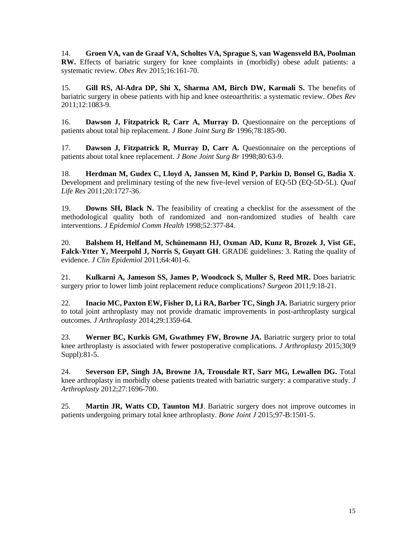14. **Groen VA, van de Graaf VA, Scholtes VA, Sprague S, van Wagensveld BA, Poolman RW.** Effects of bariatric surgery for knee complaints in (morbidly) obese adult patients: a systematic review. *Obes Rev* 2015;16:161-70.

15. **Gill RS, Al-Adra DP, Shi X, Sharma AM, Birch DW, Karmali S.** The benefits of bariatric surgery in obese patients with hip and knee osteoarthritis: a systematic review. *Obes Rev* 2011;12:1083-9.

16. **Dawson J, Fitzpatrick R, Carr A, Murray D.** Questionnaire on the perceptions of patients about total hip replacement. *J Bone Joint Surg Br* 1996;78:185-90.

17. **Dawson J, Fitzpatrick R, Murray D, Carr A.** Questionnaire on the perceptions of patients about total knee replacement. *J Bone Joint Surg Br* 1998;80:63-9.

18. **Herdman M, Gudex C, Lloyd A, Janssen M, Kind P, Parkin D, Bonsel G, Badia X**. Development and preliminary testing of the new five-level version of EQ-5D (EQ-5D-5L). *Qual Life Res* 2011;20:1727-36.

19. **Downs SH, Black N.** The feasibility of creating a checklist for the assessment of the methodological quality both of randomized and non-randomized studies of health care interventions. *J Epidemiol Comm Health* 1998;52:377-84.

20. **Balshem H, Helfand M, Schünemann HJ, Oxman AD, Kunz R, Brozek J, Vist GE, Falck-Ytter Y, Meerpohl J, Norris S, Guyatt GH**. GRADE guidelines: 3. Rating the quality of evidence. *J Clin Epidemiol* 2011;64:401-6.

21. **Kulkarni A, Jameson SS, James P, Woodcock S, Muller S, Reed MR.** Does bariatric surgery prior to lower limb joint replacement reduce complications? *Surgeon* 2011;9:18-21.

22. **Inacio MC, Paxton EW, Fisher D, Li RA, Barber TC, Singh JA.** Bariatric surgery prior to total joint arthroplasty may not provide dramatic improvements in post-arthroplasty surgical outcomes. *J Arthroplasty* 2014;29:1359-64.

23. **Werner BC, Kurkis GM, Gwathmey FW, Browne JA.** Bariatric surgery prior to total knee arthroplasty is associated with fewer postoperative complications. *J Arthroplasty* 2015;30(9 Suppl):81-5.

24. **Severson EP, Singh JA, Browne JA, Trousdale RT, Sarr MG, Lewallen DG.** Total knee arthroplasty in morbidly obese patients treated with bariatric surgery: a comparative study. *J Arthroplasty* 2012;27:1696-700.

25. **Martin JR, Watts CD, Taunton MJ**. Bariatric surgery does not improve outcomes in patients undergoing primary total knee arthroplasty. *Bone Joint J* 2015;97-B:1501-5.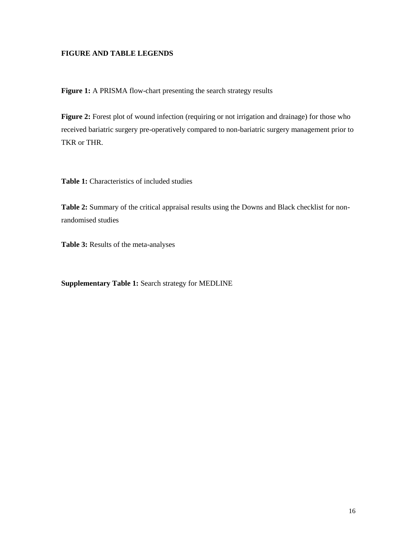# **FIGURE AND TABLE LEGENDS**

Figure 1: A PRISMA flow-chart presenting the search strategy results

**Figure 2:** Forest plot of wound infection (requiring or not irrigation and drainage) for those who received bariatric surgery pre-operatively compared to non-bariatric surgery management prior to TKR or THR.

**Table 1:** Characteristics of included studies

**Table 2:** Summary of the critical appraisal results using the Downs and Black checklist for nonrandomised studies

**Table 3:** Results of the meta-analyses

**Supplementary Table 1:** Search strategy for MEDLINE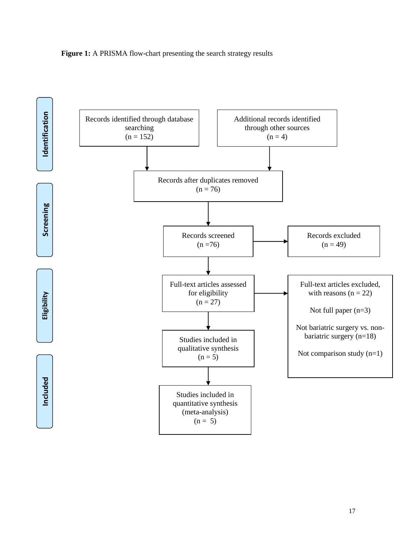

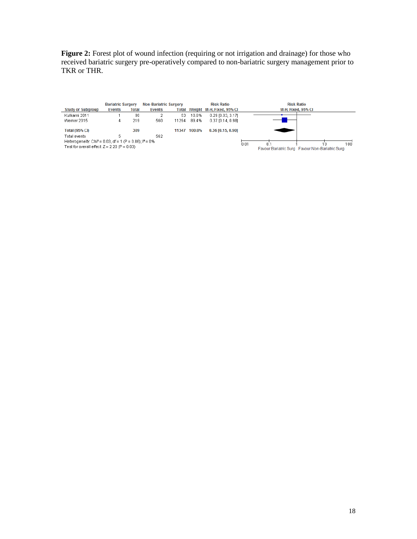**Figure 2:** Forest plot of wound infection (requiring or not irrigation and drainage) for those who received bariatric surgery pre-operatively compared to non-bariatric surgery management prior to TKR or THR.

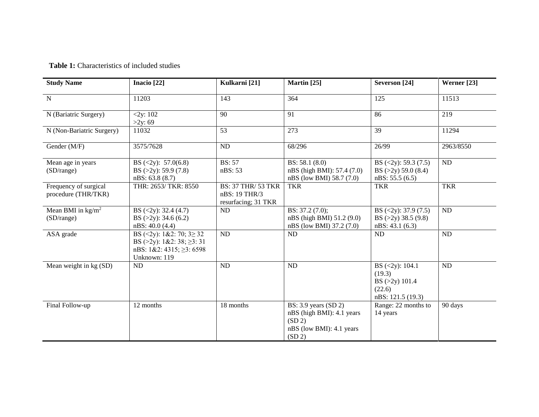**Table 1:** Characteristics of included studies

| <b>Study Name</b>                            | Inacio <sup>[22]</sup>                                                                                                           | Kulkarni [21]                                                     | Martin [25]                                                                                          | Severson [24]                                                                               | Werner [23] |
|----------------------------------------------|----------------------------------------------------------------------------------------------------------------------------------|-------------------------------------------------------------------|------------------------------------------------------------------------------------------------------|---------------------------------------------------------------------------------------------|-------------|
| $\mathbf N$                                  | 11203                                                                                                                            | 143                                                               | 364                                                                                                  | 125                                                                                         | 11513       |
| N (Bariatric Surgery)                        | 2xy:102<br>>2y:69                                                                                                                | 90                                                                | 91                                                                                                   | 86                                                                                          | 219         |
| N (Non-Bariatric Surgery)                    | 11032                                                                                                                            | 53                                                                | 273                                                                                                  | 39                                                                                          | 11294       |
| Gender (M/F)                                 | 3575/7628                                                                                                                        | <b>ND</b>                                                         | 68/296                                                                                               | 26/99                                                                                       | 2963/8550   |
| Mean age in years<br>(SD/range)              | BS $(\langle 2y \rangle: 57.0(6.8))$<br>BS $(>2y)$ : 59.9 $(7.8)$<br>nBS: 63.8 (8.7)                                             | <b>BS: 57</b><br>nBS: 53                                          | BS: $58.1(8.0)$<br>nBS (high BMI): 57.4 (7.0)<br>nBS (low BMI) 58.7 (7.0)                            | BS $(<2y)$ : 59.3 (7.5)<br>BS $(>2y)$ 59.0 $(8.4)$<br>nBS: 55.5(6.5)                        | ND          |
| Frequency of surgical<br>procedure (THR/TKR) | THR: 2653/ TKR: 8550                                                                                                             | <b>BS: 37 THR/ 53 TKR</b><br>nBS: 19 THR/3<br>resurfacing; 31 TKR | <b>TKR</b>                                                                                           | <b>TKR</b>                                                                                  | <b>TKR</b>  |
| Mean BMI in $\text{kg/m}^2$<br>(SD/range)    | BS $(<2y)$ : 32.4 (4.7)<br>BS $(>2y)$ : 34.6 $(6.2)$<br>nBS: 40.0 (4.4)                                                          | ND                                                                | BS: 37.2 (7.0);<br>nBS (high BMI) 51.2 (9.0)<br>nBS (low BMI) 37.2 (7.0)                             | BS $(\langle 2y)$ : 37.9 $(7.5)$<br>BS $(>2y)$ 38.5 $(9.8)$<br>nBS: 43.1(6.3)               | ND          |
| ASA grade                                    | BS $(\leq 2y)$ : 1&2: 70; 3 $\geq 32$<br>BS ( $>2y$ ): 1&2: 38; $\geq$ 3: 31<br>nBS: $1&2:4315$ ; $\geq$ 3: 6598<br>Unknown: 119 | <b>ND</b>                                                         | ND                                                                                                   | ND                                                                                          | ND          |
| Mean weight in kg (SD)                       | ND                                                                                                                               | ND                                                                | ND                                                                                                   | BS $(\langle 2y \rangle: 104.1)$<br>(19.3)<br>BS (>2y) 101.4<br>(22.6)<br>nBS: 121.5 (19.3) | ND          |
| Final Follow-up                              | 12 months                                                                                                                        | 18 months                                                         | BS: $3.9$ years $(SD2)$<br>nBS (high BMI): 4.1 years<br>(SD 2)<br>nBS (low BMI): 4.1 years<br>(SD 2) | Range: 22 months to<br>14 years                                                             | 90 days     |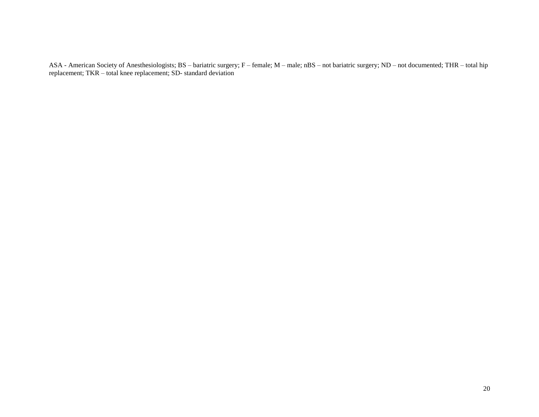ASA - American Society of Anesthesiologists; BS – bariatric surgery; F – female; M – male; nBS – not bariatric surgery; ND – not documented; THR – total hip replacement; TKR – total knee replacement; SD- standard deviation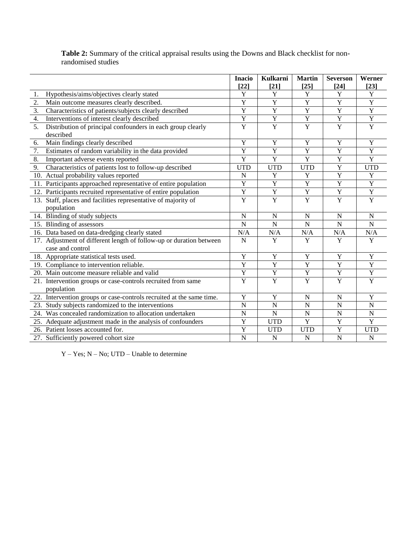# **Table 2:** Summary of the critical appraisal results using the Downs and Black checklist for nonrandomised studies

|                  |                                                                      | <b>Inacio</b>  | <b>Kulkarni</b> | <b>Martin</b>  | <b>Severson</b> | Werner         |
|------------------|----------------------------------------------------------------------|----------------|-----------------|----------------|-----------------|----------------|
|                  |                                                                      | $[22]$         | $[21]$          | $[25]$         | $[24]$          | $[23]$         |
| 1.               | Hypothesis/aims/objectives clearly stated                            | Y              | Y               | Y              | Y               | $\mathbf Y$    |
| 2.               | Main outcome measures clearly described.                             | Y              | $\overline{Y}$  | $\overline{Y}$ | Y               | $\overline{Y}$ |
| 3.               | Characteristics of patients/subjects clearly described               | Y              | $\overline{Y}$  | $\mathbf Y$    | Y               | $\overline{Y}$ |
| 4.               | Interventions of interest clearly described                          | $\mathbf Y$    | $\mathbf Y$     | $\mathbf Y$    | $\mathbf Y$     | $\mathbf Y$    |
| $\overline{5}$ . | Distribution of principal confounders in each group clearly          | $\overline{Y}$ | $\overline{Y}$  | $\overline{Y}$ | $\overline{Y}$  | $\overline{Y}$ |
|                  | described                                                            |                |                 |                |                 |                |
| 6.               | Main findings clearly described                                      | Y              | Y               | $\mathbf Y$    | Y               | Y              |
| 7.               | Estimates of random variability in the data provided                 | $\overline{Y}$ | $\overline{Y}$  | $\overline{Y}$ | $\overline{Y}$  | $\overline{Y}$ |
| 8.               | Important adverse events reported                                    | $\overline{Y}$ | $\overline{Y}$  | $\overline{Y}$ | Y               | $\overline{Y}$ |
| 9.               | Characteristics of patients lost to follow-up described              | <b>UTD</b>     | <b>UTD</b>      | <b>UTD</b>     | Y               | <b>UTD</b>     |
|                  | 10. Actual probability values reported                               | N              | Y               | Y              | $\mathbf Y$     | Y              |
|                  | 11. Participants approached representative of entire population      | Y              | $\overline{Y}$  | $\overline{Y}$ | Y               | $\mathbf Y$    |
|                  | 12. Participants recruited representative of entire population       | $\overline{Y}$ | $\overline{Y}$  | $\overline{Y}$ | $\overline{Y}$  | $\overline{Y}$ |
|                  | 13. Staff, places and facilities representative of majority of       | $\overline{Y}$ | $\overline{Y}$  | $\overline{Y}$ | $\overline{Y}$  | $\overline{Y}$ |
|                  | population                                                           |                |                 |                |                 |                |
|                  | 14. Blinding of study subjects                                       | $\mathbf N$    | $\mathbf N$     | $\mathbf N$    | N               | $\mathbf N$    |
|                  | 15. Blinding of assessors                                            | $\mathbf N$    | $\overline{N}$  | ${\bf N}$      | $\mathbf N$     | $\mathbf N$    |
|                  | 16. Data based on data-dredging clearly stated                       | N/A            | N/A             | N/A            | N/A             | N/A            |
|                  | 17. Adjustment of different length of follow-up or duration between  | $\mathbf N$    | $\overline{Y}$  | Y              | Y               | $\overline{Y}$ |
|                  | case and control                                                     |                |                 |                |                 |                |
|                  | 18. Appropriate statistical tests used.                              | $\overline{Y}$ | $\overline{Y}$  | $\overline{Y}$ | $\overline{Y}$  | $\overline{Y}$ |
|                  | 19. Compliance to intervention reliable.                             | $\overline{Y}$ | $\overline{Y}$  | $\overline{Y}$ | $\overline{Y}$  | $\overline{Y}$ |
|                  | 20. Main outcome measure reliable and valid                          | Y              | $\mathbf Y$     | $\mathbf Y$    | $\mathbf Y$     | $\mathbf Y$    |
|                  | 21. Intervention groups or case-controls recruited from same         | $\overline{Y}$ | $\overline{Y}$  | $\overline{Y}$ | $\overline{Y}$  | $\overline{Y}$ |
|                  | population                                                           |                |                 |                |                 |                |
|                  | 22. Intervention groups or case-controls recruited at the same time. | $\mathbf Y$    | $\mathbf Y$     | ${\bf N}$      | $\mathbf N$     | $\mathbf Y$    |
|                  | 23. Study subjects randomized to the interventions                   | ${\bf N}$      | ${\bf N}$       | ${\bf N}$      | $\mathbf N$     | ${\bf N}$      |
|                  | 24. Was concealed randomization to allocation undertaken             | $\mathbf N$    | ${\bf N}$       | ${\bf N}$      | N               | $\mathbf N$    |
|                  | 25. Adequate adjustment made in the analysis of confounders          | Y              | <b>UTD</b>      | $\mathbf Y$    | Y               | $\mathbf Y$    |
|                  | 26. Patient losses accounted for.                                    | Y              | <b>UTD</b>      | <b>UTD</b>     | Y               | <b>UTD</b>     |
|                  | 27. Sufficiently powered cohort size                                 | $\mathbf N$    | ${\bf N}$       | ${\bf N}$      | $\mathbf N$     | ${\bf N}$      |

Y – Yes; N – No; UTD – Unable to determine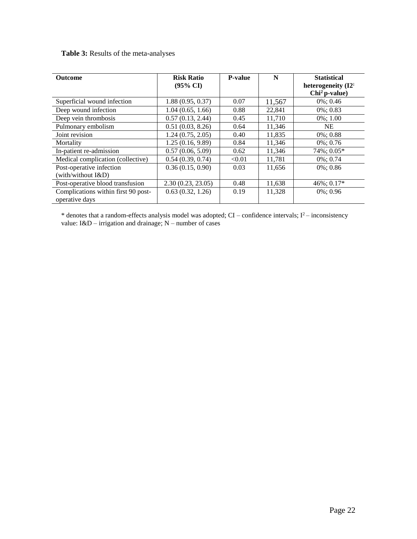# **Table 3:** Results of the meta-analyses

| <b>Outcome</b>                                        | <b>Risk Ratio</b><br>$(95\% \text{ CI})$ | <b>P-value</b> | N      | <b>Statistical</b><br>heterogeneity (I2 <sup>;</sup><br>$Chi2 p-value)$ |
|-------------------------------------------------------|------------------------------------------|----------------|--------|-------------------------------------------------------------------------|
| Superficial wound infection                           | 1.88(0.95, 0.37)                         | 0.07           | 11,567 | $0\%$ ; 0.46                                                            |
| Deep wound infection                                  | 1.04(0.65, 1.66)                         | 0.88           | 22,841 | $0\% : 0.83$                                                            |
| Deep vein thrombosis                                  | 0.57(0.13, 2.44)                         | 0.45           | 11,710 | $0\%$ ; 1.00                                                            |
| Pulmonary embolism                                    | 0.51(0.03, 8.26)                         | 0.64           | 11,346 | <b>NE</b>                                                               |
| Joint revision                                        | 1.24(0.75, 2.05)                         | 0.40           | 11,835 | $0\%$ ; 0.88                                                            |
| Mortality                                             | 1.25(0.16, 9.89)                         | 0.84           | 11,346 | $0\%$ ; 0.76                                                            |
| In-patient re-admission                               | 0.57(0.06, 5.09)                         | 0.62           | 11,346 | 74%; 0.05*                                                              |
| Medical complication (collective)                     | 0.54(0.39, 0.74)                         | < 0.01         | 11,781 | $0\%$ ; 0.74                                                            |
| Post-operative infection<br>(with/without I&D)        | 0.36(0.15, 0.90)                         | 0.03           | 11,656 | $0\%$ ; 0.86                                                            |
| Post-operative blood transfusion                      | 2.30(0.23, 23.05)                        | 0.48           | 11,638 | $46\%; 0.17*$                                                           |
| Complications within first 90 post-<br>operative days | 0.63(0.32, 1.26)                         | 0.19           | 11,328 | $0\%$ ; 0.96                                                            |

\* denotes that a random-effects analysis model was adopted;  $CI$  – confidence intervals;  $I<sup>2</sup>$ – inconsistency value:  $I&D$  – irrigation and drainage; N – number of cases